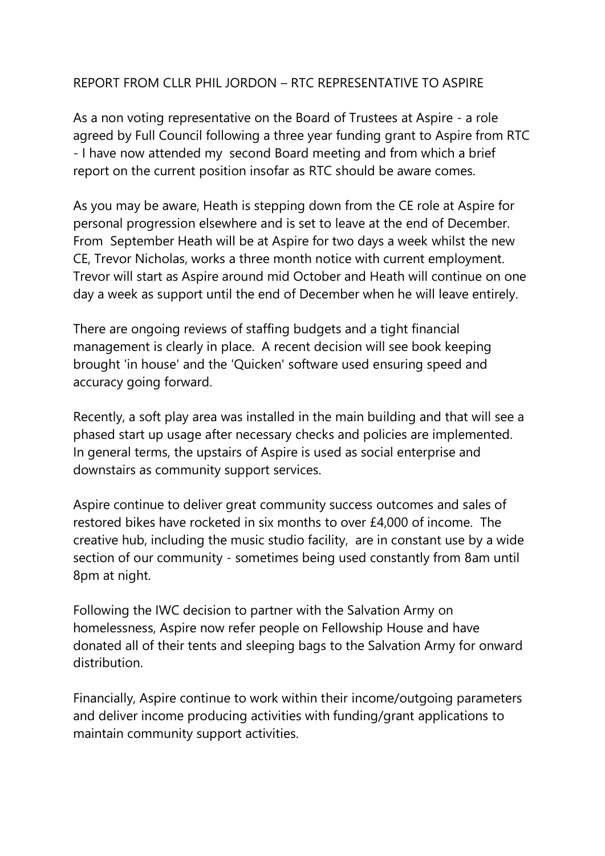## REPORT FROM CLLR PHIL JORDON – RTC REPRESENTATIVE TO ASPIRE

As a non voting representative on the Board of Trustees at Aspire - a role agreed by Full Council following a three year funding grant to Aspire from RTC - I have now attended my second Board meeting and from which a brief report on the current position insofar as RTC should be aware comes.

As you may be aware, Heath is stepping down from the CE role at Aspire for personal progression elsewhere and is set to leave at the end of December. From September Heath will be at Aspire for two days a week whilst the new CE, Trevor Nicholas, works a three month notice with current employment. Trevor will start as Aspire around mid October and Heath will continue on one day a week as support until the end of December when he will leave entirely.

There are ongoing reviews of staffing budgets and a tight financial management is clearly in place. A recent decision will see book keeping brought 'in house' and the 'Quicken' software used ensuring speed and accuracy going forward.

Recently, a soft play area was installed in the main building and that will see a phased start up usage after necessary checks and policies are implemented. In general terms, the upstairs of Aspire is used as social enterprise and downstairs as community support services.

Aspire continue to deliver great community success outcomes and sales of restored bikes have rocketed in six months to over £4,000 of income. The creative hub, including the music studio facility, are in constant use by a wide section of our community - sometimes being used constantly from 8am until 8pm at night.

Following the IWC decision to partner with the Salvation Army on homelessness, Aspire now refer people on Fellowship House and have donated all of their tents and sleeping bags to the Salvation Army for onward distribution.

Financially, Aspire continue to work within their income/outgoing parameters and deliver income producing activities with funding/grant applications to maintain community support activities.